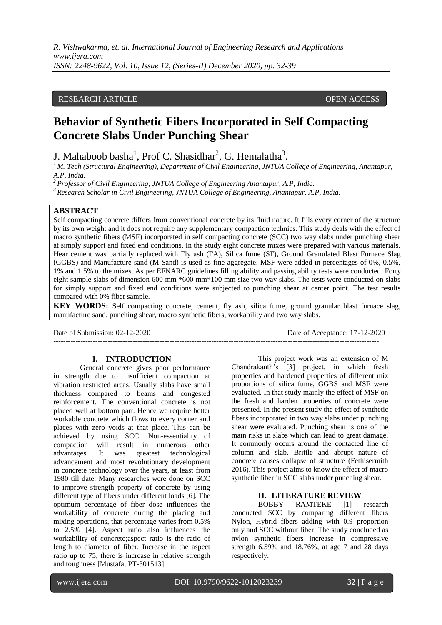# RESEARCH ARTICLE **OPEN ACCESS**

# **Behavior of Synthetic Fibers Incorporated in Self Compacting Concrete Slabs Under Punching Shear**

J. Mahaboob basha<sup>1</sup>, Prof C. Shasidhar<sup>2</sup>, G. Hemalatha<sup>3</sup>.

*<sup>1</sup>M. Tech (Structural Engineering), Department of Civil Engineering, JNTUA College of Engineering, Anantapur, A.P, India.*

*<sup>2</sup>Professor of Civil Engineering, JNTUA College of Engineering Anantapur, A.P, India.*

*<sup>3</sup>Research Scholar in Civil Engineering, JNTUA College of Engineering, Anantapur, A.P, India.*

### **ABSTRACT**

Self compacting concrete differs from conventional concrete by its fluid nature. It fills every corner of the structure by its own weight and it does not require any supplementary compaction technics. This study deals with the effect of macro synthetic fibers (MSF) incorporated in self compacting concrete (SCC) two way slabs under punching shear at simply support and fixed end conditions. In the study eight concrete mixes were prepared with various materials. Hear cement was partially replaced with Fly ash (FA), Silica fume (SF), Ground Granulated Blast Furnace Slag (GGBS) and Manufacture sand (M Sand) is used as fine aggregate. MSF were added in percentages of 0%, 0.5%, 1% and 1.5% to the mixes. As per EFNARC guidelines filling ability and passing ability tests were conducted. Forty eight sample slabs of dimension 600 mm \*600 mm\*100 mm size two way slabs. The tests were conducted on slabs for simply support and fixed end conditions were subjected to punching shear at center point. The test results compared with 0% fiber sample.

**KEY WORDS:** Self compacting concrete, cement, fly ash, silica fume, ground granular blast furnace slag, manufacture sand, punching shear, macro synthetic fibers, workability and two way slabs.

Date of Submission: 02-12-2020 Date of Acceptance: 17-12-2020 ------------------------------------------------------------------------------------------------------------------------------------

#### **I. INTRODUCTION**

General concrete gives poor performance in strength due to insufficient compaction at vibration restricted areas. Usually slabs have small thickness compared to beams and congested reinforcement. The conventional concrete is not placed well at bottom part. Hence we require better workable concrete which flows to every corner and places with zero voids at that place. This can be achieved by using SCC. Non-essentiality of compaction will result in numerous other advantages. It was greatest technological advancement and most revolutionary development in concrete technology over the years, at least from 1980 till date. Many researches were done on SCC to improve strength property of concrete by using different type of fibers under different loads [6]. The optimum percentage of fiber dose influences the workability of concrete during the placing and mixing operations, that percentage varies from 0.5% to 2.5% [4]. Aspect ratio also influences the workability of concrete;aspect ratio is the ratio of length to diameter of fiber. Increase in the aspect ratio up to 75, there is increase in relative strength and toughness [Mustafa, PT-301513].

This project work was an extension of M Chandrakanth's [3] project, in which fresh properties and hardened properties of different mix proportions of silica fume, GGBS and MSF were evaluated. In that study mainly the effect of MSF on the fresh and harden properties of concrete were presented. In the present study the effect of synthetic fibers incorporated in two way slabs under punching shear were evaluated. Punching shear is one of the main risks in slabs which can lead to great damage. It commonly occurs around the contacted line of column and slab. Brittle and abrupt nature of concrete causes collapse of structure (Fethisermith 2016). This project aims to know the effect of macro synthetic fiber in SCC slabs under punching shear.

# **II. LITERATURE REVIEW**

BOBBY RAMTEKE [1] research conducted SCC by comparing different fibers Nylon, Hybrid fibers adding with 0.9 proportion only and SCC without fiber. The study concluded as nylon synthetic fibers increase in compressive strength 6.59% and 18.76%, at age 7 and 28 days respectively.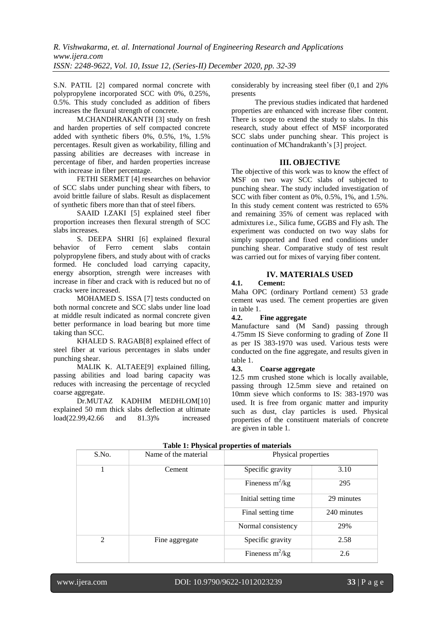S.N. PATIL [2] compared normal concrete with polypropylene incorporated SCC with 0%, 0.25%, 0.5%. This study concluded as addition of fibers increases the flexural strength of concrete.

M.CHANDHRAKANTH [3] study on fresh and harden properties of self compacted concrete added with synthetic fibers 0%, 0.5%, 1%, 1.5% percentages. Result given as workability, filling and passing abilities are decreases with increase in percentage of fiber, and harden properties increase with increase in fiber percentage.

FETHI SERMET [4] researches on behavior of SCC slabs under punching shear with fibers, to avoid brittle failure of slabs. Result as displacement of synthetic fibers more than that of steel fibers.

SAAID I.ZAKI [5] explained steel fiber proportion increases then flexural strength of SCC slabs increases.

S. DEEPA SHRI [6] explained flexural behavior of Ferro cement slabs contain polypropylene fibers, and study about with of cracks formed. He concluded load carrying capacity, energy absorption, strength were increases with increase in fiber and crack with is reduced but no of cracks were increased.

MOHAMED S. ISSA [7] tests conducted on both normal concrete and SCC slabs under line load at middle result indicated as normal concrete given better performance in load bearing but more time taking than SCC.

KHALED S. RAGAB[8] explained effect of steel fiber at various percentages in slabs under punching shear.

MALIK K. ALTAEE[9] explained filling, passing abilities and load baring capacity was reduces with increasing the percentage of recycled coarse aggregate.

Dr.MUTAZ KADHIM MEDHLOM[10] explained 50 mm thick slabs deflection at ultimate<br>load(22.99,42.66 and 81.3)% increased load(22.99,42.66 and 81.3)% increased

considerably by increasing steel fiber (0,1 and 2)% presents

The previous studies indicated that hardened properties are enhanced with increase fiber content. There is scope to extend the study to slabs. In this research, study about effect of MSF incorporated SCC slabs under punching shear. This project is continuation of MChandrakanth's [3] project.

# **III. OBJECTIVE**

The objective of this work was to know the effect of MSF on two way SCC slabs of subjected to punching shear. The study included investigation of SCC with fiber content as 0%, 0.5%, 1%, and 1.5%. In this study cement content was restricted to 65% and remaining 35% of cement was replaced with admixtures i.e., Silica fume, GGBS and Fly ash. The experiment was conducted on two way slabs for simply supported and fixed end conditions under punching shear. Comparative study of test result was carried out for mixes of varying fiber content.

# **IV. MATERIALS USED**

### **4.1. Cement:**

Maha OPC (ordinary Portland cement) 53 grade cement was used. The cement properties are given in table 1.

### **4.2. Fine aggregate**

Manufacture sand (M Sand) passing through 4.75mm IS Sieve conforming to grading of Zone II as per IS 383-1970 was used. Various tests were conducted on the fine aggregate, and results given in table 1.

### **4.3. Coarse aggregate**

12.5 mm crushed stone which is locally available, passing through 12.5mm sieve and retained on 10mm sieve which conforms to IS: 383-1970 was used. It is free from organic matter and impurity such as dust, clay particles is used. Physical properties of the constituent materials of concrete are given in table 1.

| S.No.          | Name of the material | Physical properties   |             |  |
|----------------|----------------------|-----------------------|-------------|--|
|                | Cement               | Specific gravity      | 3.10        |  |
|                |                      | Fineness $m^2/kg$     | 295         |  |
|                |                      | Initial setting time. | 29 minutes  |  |
|                |                      | Final setting time    | 240 minutes |  |
|                |                      | Normal consistency    | 29%         |  |
| $\mathfrak{D}$ | Fine aggregate       | Specific gravity      | 2.58        |  |
|                |                      | Fineness $m^2/kg$     | 2.6         |  |

#### **Table 1: Physical properties of materials**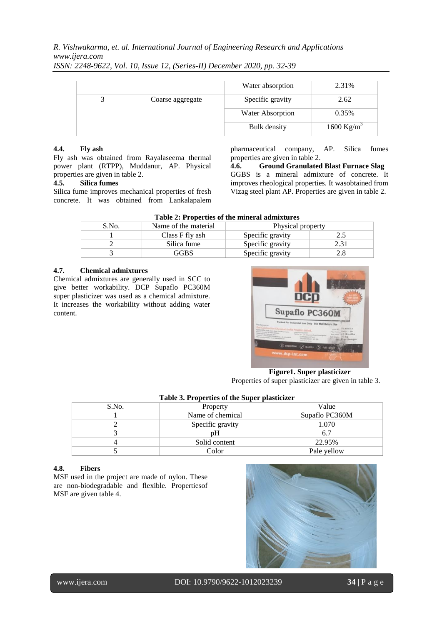# *R. Vishwakarma, et. al. International Journal of Engineering Research and Applications www.ijera.com*

*ISSN: 2248-9622, Vol. 10, Issue 12, (Series-II) December 2020, pp. 32-39*

|                  | Water absorption | 2.31%                  |
|------------------|------------------|------------------------|
| Coarse aggregate | Specific gravity | 2.62                   |
|                  | Water Absorption | 0.35%                  |
|                  | Bulk density     | 1600 Kg/m <sup>3</sup> |

### **4.4. Fly ash**

Fly ash was obtained from Rayalaseema thermal power plant (RTPP), Muddanur, AP. Physical properties are given in table 2.

#### **4.5. Silica fumes**

Silica fume improves mechanical properties of fresh concrete. It was obtained from Lankalapalem

pharmaceutical company, AP. Silica fumes properties are given in table 2.

**4.6. Ground Granulated Blast Furnace Slag** GGBS is a mineral admixture of concrete. It improves rheological properties. It wasobtained from Vizag steel plant AP. Properties are given in table 2.

| S.No. | Name of the material | Physical property |  |
|-------|----------------------|-------------------|--|
|       | Class F fly ash      | Specific gravity  |  |
|       | Silica fume          | Specific gravity  |  |
|       | GBS                  | Specific gravity  |  |

#### **4.7. Chemical admixtures**

Chemical admixtures are generally used in SCC to give better workability. DCP Supaflo PC360M super plasticizer was used as a chemical admixture. It increases the workability without adding water content.



**Figure1. Super plasticizer** Properties of super plasticizer are given in table 3.

| Tuble of Troperties of the super-plasticizer |                  |                |  |  |  |
|----------------------------------------------|------------------|----------------|--|--|--|
| S.No.                                        | Property         | Value          |  |  |  |
|                                              | Name of chemical | Supaflo PC360M |  |  |  |
|                                              | Specific gravity | 1.070          |  |  |  |
|                                              | pΗ               | 6.7            |  |  |  |
|                                              | Solid content    | 22.95%         |  |  |  |
|                                              | Color            | Pale yellow    |  |  |  |

### **Table 3. Properties of the Super plasticizer**

#### **4.8. Fibers**

MSF used in the project are made of nylon. These are non-biodegradable and flexible. Propertiesof MSF are given table 4.

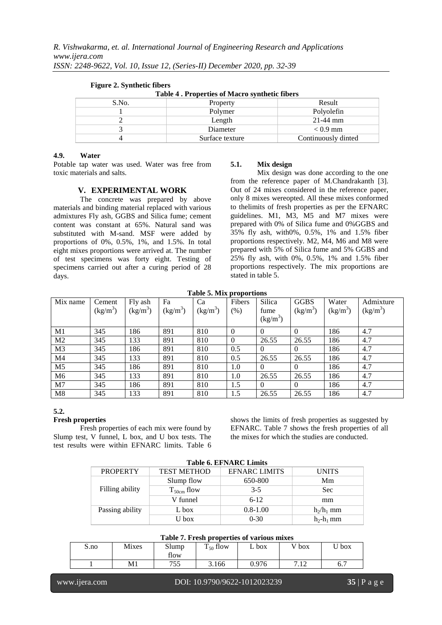| Table 4. Properties of Macro synthetic fibers |                    |                     |  |  |  |
|-----------------------------------------------|--------------------|---------------------|--|--|--|
| S.No.                                         | Result<br>Property |                     |  |  |  |
|                                               | Polymer            | Polyolefin          |  |  |  |
|                                               | Length             | $21-44$ mm          |  |  |  |
|                                               | Diameter           | $< 0.9$ mm          |  |  |  |
|                                               | Surface texture    | Continuously dinted |  |  |  |

#### **Figure 2. Synthetic fibers**

#### **4.9. Water**

Potable tap water was used. Water was free from toxic materials and salts.

#### **V. EXPERIMENTAL WORK**

The concrete was prepared by above materials and binding material replaced with various admixtures Fly ash, GGBS and Silica fume; cement content was constant at 65%. Natural sand was substituted with M-sand. MSF were added by proportions of 0%, 0.5%, 1%, and 1.5%. In total eight mixes proportions were arrived at. The number of test specimens was forty eight. Testing of specimens carried out after a curing period of 28 days.

#### **5.1. Mix design**

Mix design was done according to the one from the reference paper of M.Chandrakanth [3]. Out of 24 mixes considered in the reference paper, only 8 mixes wereopted. All these mixes conformed to thelimits of fresh properties as per the EFNARC guidelines. M1, M3, M5 and M7 mixes were prepared with 0% of Silica fume and 0%GGBS and 35% fly ash, with0%, 0.5%, 1% and 1.5% fiber proportions respectively. M2, M4, M6 and M8 were prepared with 5% of Silica fume and 5% GGBS and 25% fly ash, with 0%, 0.5%, 1% and 1.5% fiber proportions respectively. The mix proportions are stated in table 5.

**Table 5. Mix proportions**

| Mix name       | Cement     | Fly ash    | Fa         | Ca         | Fibers   | Silica     | <b>GGBS</b> | Water                | Admixture  |
|----------------|------------|------------|------------|------------|----------|------------|-------------|----------------------|------------|
|                | $(kg/m^3)$ | $(kg/m^3)$ | $(kg/m^3)$ | $(kg/m^3)$ | $(\% )$  | fume       | $(kg/m^3)$  | (kg/m <sup>3</sup> ) | $(kg/m^3)$ |
|                |            |            |            |            |          | $(kg/m^3)$ |             |                      |            |
| M1             | 345        | 186        | 891        | 810        | $\Omega$ | $\Omega$   | $\theta$    | 186                  | 4.7        |
| M <sub>2</sub> | 345        | 133        | 891        | 810        | $\Omega$ | 26.55      | 26.55       | 186                  | 4.7        |
| M <sub>3</sub> | 345        | 186        | 891        | 810        | 0.5      | $\theta$   | $\theta$    | 186                  | 4.7        |
| M <sub>4</sub> | 345        | 133        | 891        | 810        | 0.5      | 26.55      | 26.55       | 186                  | 4.7        |
| M <sub>5</sub> | 345        | 186        | 891        | 810        | 1.0      | $\Omega$   | $\theta$    | 186                  | 4.7        |
| M <sub>6</sub> | 345        | 133        | 891        | 810        | 1.0      | 26.55      | 26.55       | 186                  | 4.7        |
| M7             | 345        | 186        | 891        | 810        | 1.5      | $\theta$   | $\theta$    | 186                  | 4.7        |
| M8             | 345        | 133        | 891        | 810        | 1.5      | 26.55      | 26.55       | 186                  | 4.7        |

# **5.2.**

#### **Fresh properties**

Fresh properties of each mix were found by Slump test, V funnel, L box, and U box tests. The test results were within EFNARC limits. Table 6

shows the limits of fresh properties as suggested by EFNARC. Table 7 shows the fresh properties of all the mixes for which the studies are conducted.

| <b>Table 6. EFNARC Limits</b> |                                            |              |              |  |  |  |
|-------------------------------|--------------------------------------------|--------------|--------------|--|--|--|
| <b>PROPERTY</b>               | <b>TEST METHOD</b><br><b>EFNARC LIMITS</b> |              |              |  |  |  |
|                               | Slump flow                                 | 650-800      | Mm           |  |  |  |
| Filling ability               | $T_{50cm}$ flow                            | $3 - 5$      | <b>Sec</b>   |  |  |  |
|                               | V funnel                                   | $6-12$       | mm           |  |  |  |
| Passing ability<br>L box      |                                            | $0.8 - 1.00$ | $h_2/h_1$ mm |  |  |  |
|                               | U box                                      | $0-30$       | $h_2-h_1$ mm |  |  |  |

#### **Table 7. Fresh properties of various mixes**

| Tuble 14 I restricted the of various maxes |              |            |                    |       |                                       |                  |  |
|--------------------------------------------|--------------|------------|--------------------|-------|---------------------------------------|------------------|--|
| $S$ .no                                    | <b>Mixes</b> | Slump      | $\Gamma_{50}$ flow | box   | $\overline{V}$ box                    | $\mathbf{I}$ box |  |
|                                            |              | flow       |                    |       |                                       |                  |  |
|                                            | M1           | 755<br>ر ر | 3.166              | 0.976 | $\overline{ }$<br>1 <sup>c</sup><br>. | b. /             |  |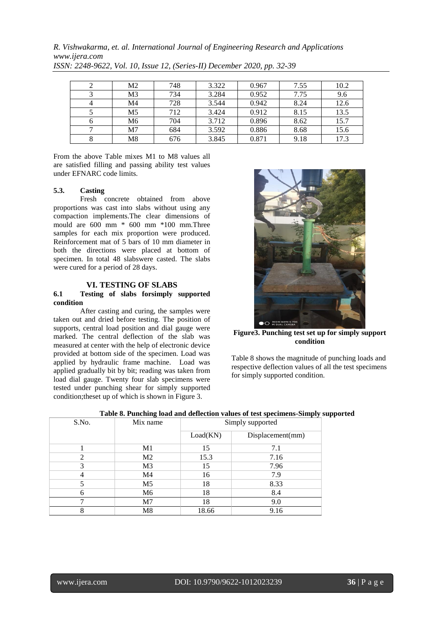*R. Vishwakarma, et. al. International Journal of Engineering Research and Applications www.ijera.com*

| M2             | 748 | 3.322 | 0.967 | 7.55 | 10.2 |
|----------------|-----|-------|-------|------|------|
| M <sub>3</sub> | 734 | 3.284 | 0.952 | 7.75 | 9.6  |
| M4             | 728 | 3.544 | 0.942 | 8.24 | 12.6 |
| M <sub>5</sub> | 712 | 3.424 | 0.912 | 8.15 | 13.5 |
| M6             | 704 | 3.712 | 0.896 | 8.62 | 15.7 |
| M7             | 684 | 3.592 | 0.886 | 8.68 | 15.6 |
| M8             | 676 | 3.845 | 0.871 | 9.18 | 17.3 |

*ISSN: 2248-9622, Vol. 10, Issue 12, (Series-II) December 2020, pp. 32-39*

From the above Table mixes M1 to M8 values all are satisfied filling and passing ability test values under EFNARC code limits.

# **5.3. Casting**

Fresh concrete obtained from above proportions was cast into slabs without using any compaction implements.The clear dimensions of mould are 600 mm \* 600 mm \*100 mm.Three samples for each mix proportion were produced. Reinforcement mat of 5 bars of 10 mm diameter in both the directions were placed at bottom of specimen. In total 48 slabswere casted. The slabs were cured for a period of 28 days.

### **VI. TESTING OF SLABS**

#### **6.1 Testing of slabs forsimply supported condition**

After casting and curing, the samples were taken out and dried before testing. The position of supports, central load position and dial gauge were marked. The central deflection of the slab was measured at center with the help of electronic device provided at bottom side of the specimen. Load was applied by hydraulic frame machine. Load was applied gradually bit by bit; reading was taken from load dial gauge. Twenty four slab specimens were tested under punching shear for simply supported condition;theset up of which is shown in Figure 3.



**Figure3. Punching test set up for simply support condition**

Table 8 shows the magnitude of punching loads and respective deflection values of all the test specimens for simply supported condition.

| S.No. | Mix name       | Simply supported |                  |  |
|-------|----------------|------------------|------------------|--|
|       |                | Load(KN)         | Displacement(mm) |  |
|       | M <sub>1</sub> | 15               | 7.1              |  |
| 2     | M <sub>2</sub> | 15.3             | 7.16             |  |
|       | M <sub>3</sub> | 15               | 7.96             |  |
|       | M4             | 16               | 7.9              |  |
|       | M <sub>5</sub> | 18               | 8.33             |  |
| h     | M6             | 18               | 8.4              |  |
|       | M <sub>7</sub> | 18               | 9.0              |  |
|       | M8             | 18.66            | 9.16             |  |

**Table 8. Punching load and deflection values of test specimens-Simply supported**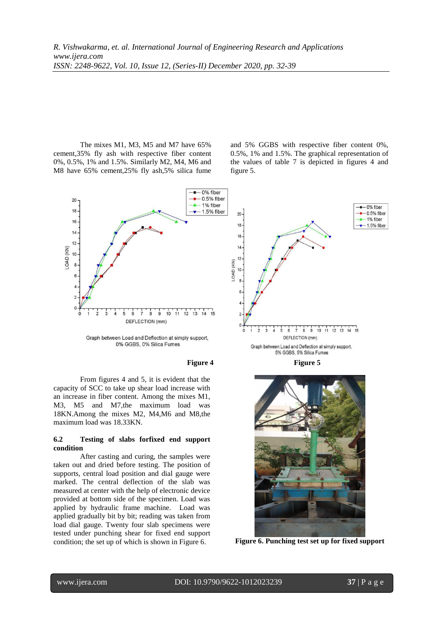The mixes M1, M3, M5 and M7 have 65% cement,35% fly ash with respective fiber content 0%, 0.5%, 1% and 1.5%. Similarly M2, M4, M6 and M8 have 65% cement,25% fly ash,5% silica fume

and 5% GGBS with respective fiber content 0%, 0.5%, 1% and 1.5%. The graphical representation of the values of table 7 is depicted in figures 4 and figure 5.





From figures 4 and 5, it is evident that the capacity of SCC to take up shear load increase with an increase in fiber content. Among the mixes M1, M3, M5 and M7,the maximum load was 18KN.Among the mixes M2, M4,M6 and M8,the maximum load was 18.33KN.

#### **6.2 Testing of slabs forfixed end support condition**

After casting and curing, the samples were taken out and dried before testing. The position of supports, central load position and dial gauge were marked. The central deflection of the slab was measured at center with the help of electronic device provided at bottom side of the specimen. Load was applied by hydraulic frame machine. Load was applied gradually bit by bit; reading was taken from load dial gauge. Twenty four slab specimens were tested under punching shear for fixed end support condition; the set up of which is shown in Figure 6. **Figure 6. Punching test set up for fixed support**



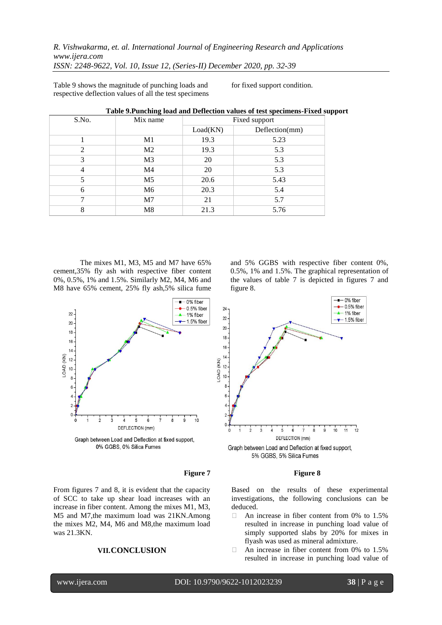*R. Vishwakarma, et. al. International Journal of Engineering Research and Applications www.ijera.com ISSN: 2248-9622, Vol. 10, Issue 12, (Series-II) December 2020, pp. 32-39*

Table 9 shows the magnitude of punching loads and respective deflection values of all the test specimens for fixed support condition.

| S.No. | Mix name       | Fixed support |                |  |
|-------|----------------|---------------|----------------|--|
|       |                | Load(KN)      | Deflection(mm) |  |
|       | M1             | 19.3          | 5.23           |  |
| 2     | M <sub>2</sub> | 19.3          | 5.3            |  |
| 3     | M <sub>3</sub> | 20            | 5.3            |  |
| 4     | M <sub>4</sub> | 20            | 5.3            |  |
| 5     | M <sub>5</sub> | 20.6          | 5.43           |  |
| 6     | M <sub>6</sub> | 20.3          | 5.4            |  |
|       | M <sub>7</sub> | 21            | 5.7            |  |
| 8     | M8             | 21.3          | 5.76           |  |

**Table 9.Punching load and Deflection values of test specimens-Fixed support**

The mixes M1, M3, M5 and M7 have 65% cement,35% fly ash with respective fiber content 0%, 0.5%, 1% and 1.5%. Similarly M2, M4, M6 and M8 have 65% cement, 25% fly ash,5% silica fume



**Figure 7 Figure 8**

From figures 7 and 8, it is evident that the capacity of SCC to take up shear load increases with an increase in fiber content. Among the mixes M1, M3, M5 and M7,the maximum load was 21KN.Among the mixes M2, M4, M6 and M8,the maximum load was 21.3KN.

# **VII.CONCLUSION**

and 5% GGBS with respective fiber content 0%, 0.5%, 1% and 1.5%. The graphical representation of the values of table 7 is depicted in figures 7 and figure 8.



Based on the results of these experimental investigations, the following conclusions can be deduced.

- $\Box$  An increase in fiber content from 0% to 1.5% resulted in increase in punching load value of simply supported slabs by 20% for mixes in flyash was used as mineral admixture.
- $\Box$  An increase in fiber content from 0% to 1.5% resulted in increase in punching load value of